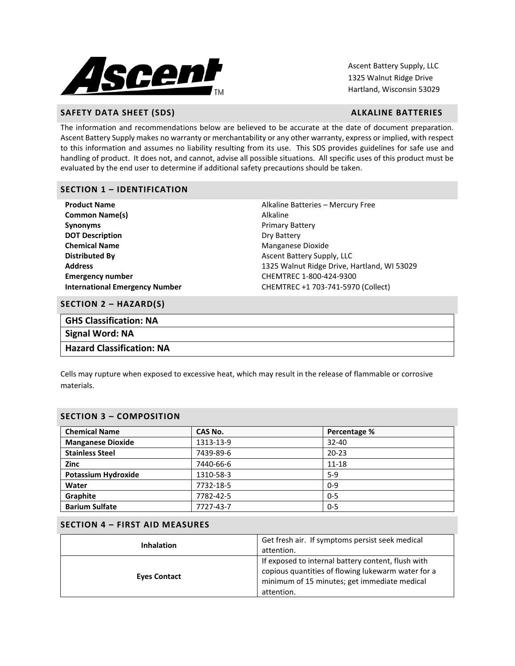

Ascent Battery Supply, LLC 1325 Walnut Ridge Drive Hartland, Wisconsin 53029

# **SAFETY DATA SHEET (SDS)** ALKALINE BATTERIES

The information and recommendations below are believed to be accurate at the date of document preparation. Ascent Battery Supply makes no warranty or merchantability or any other warranty, express or implied, with respect to this information and assumes no liability resulting from its use. This SDS provides guidelines for safe use and handling of product. It does not, and cannot, advise all possible situations. All specific uses of this product must be evaluated by the end user to determine if additional safety precautions should be taken.

# **SECTION 1 – IDENTIFICATION**

| <b>Product Name</b>                   | Alkaline Batteries - Mercury Free           |  |  |
|---------------------------------------|---------------------------------------------|--|--|
| <b>Common Name(s)</b>                 | Alkaline                                    |  |  |
| <b>Synonyms</b>                       | <b>Primary Battery</b>                      |  |  |
| <b>DOT Description</b>                | Dry Battery                                 |  |  |
| <b>Chemical Name</b>                  | Manganese Dioxide                           |  |  |
| <b>Distributed By</b>                 | Ascent Battery Supply, LLC                  |  |  |
| <b>Address</b>                        | 1325 Walnut Ridge Drive, Hartland, WI 53029 |  |  |
| <b>Emergency number</b>               | CHEMTREC 1-800-424-9300                     |  |  |
| <b>International Emergency Number</b> | CHEMTREC +1 703-741-5970 (Collect)          |  |  |
|                                       |                                             |  |  |

## **SECTION 2 – HAZARD(S)**

| <b>GHS Classification: NA</b>    |
|----------------------------------|
| Signal Word: NA                  |
| <b>Hazard Classification: NA</b> |

Cells may rupture when exposed to excessive heat, which may result in the release of flammable or corrosive materials.

# **SECTION 3 – COMPOSITION**

| <b>Chemical Name</b>       | CAS No.   | Percentage % |
|----------------------------|-----------|--------------|
| <b>Manganese Dioxide</b>   | 1313-13-9 | $32 - 40$    |
| <b>Stainless Steel</b>     | 7439-89-6 | $20 - 23$    |
| <b>Zinc</b>                | 7440-66-6 | $11 - 18$    |
| <b>Potassium Hydroxide</b> | 1310-58-3 | $5-9$        |
| Water                      | 7732-18-5 | $0 - 9$      |
| Graphite                   | 7782-42-5 | $0 - 5$      |
| <b>Barium Sulfate</b>      | 7727-43-7 | $0 - 5$      |

# **SECTION 4 – FIRST AID MEASURES**

| <b>Inhalation</b>   | Get fresh air. If symptoms persist seek medical<br>attention.                                                                                                          |  |  |
|---------------------|------------------------------------------------------------------------------------------------------------------------------------------------------------------------|--|--|
| <b>Eves Contact</b> | If exposed to internal battery content, flush with<br>copious quantities of flowing lukewarm water for a<br>minimum of 15 minutes; get immediate medical<br>attention. |  |  |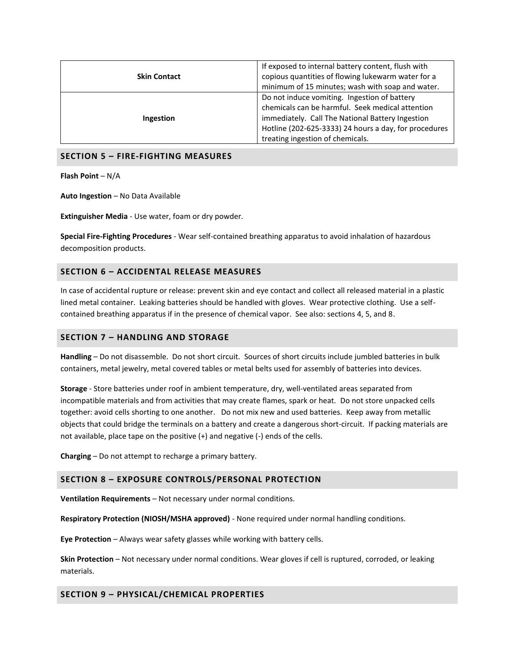|                     | If exposed to internal battery content, flush with    |
|---------------------|-------------------------------------------------------|
| <b>Skin Contact</b> | copious quantities of flowing lukewarm water for a    |
|                     | minimum of 15 minutes; wash with soap and water.      |
|                     | Do not induce vomiting. Ingestion of battery          |
| Ingestion           | chemicals can be harmful. Seek medical attention      |
|                     | immediately. Call The National Battery Ingestion      |
|                     | Hotline (202-625-3333) 24 hours a day, for procedures |
|                     | treating ingestion of chemicals.                      |

## **SECTION 5 – FIRE-FIGHTING MEASURES**

**Flash Point** – N/A

**Auto Ingestion** – No Data Available

**Extinguisher Media** - Use water, foam or dry powder.

**Special Fire-Fighting Procedures** - Wear self-contained breathing apparatus to avoid inhalation of hazardous decomposition products.

# **SECTION 6 – ACCIDENTAL RELEASE MEASURES**

In case of accidental rupture or release: prevent skin and eye contact and collect all released material in a plastic lined metal container. Leaking batteries should be handled with gloves. Wear protective clothing. Use a selfcontained breathing apparatus if in the presence of chemical vapor. See also: sections 4, 5, and 8.

## **SECTION 7 – HANDLING AND STORAGE**

**Handling** – Do not disassemble. Do not short circuit. Sources of short circuits include jumbled batteries in bulk containers, metal jewelry, metal covered tables or metal belts used for assembly of batteries into devices.

**Storage** - Store batteries under roof in ambient temperature, dry, well-ventilated areas separated from incompatible materials and from activities that may create flames, spark or heat. Do not store unpacked cells together: avoid cells shorting to one another. Do not mix new and used batteries. Keep away from metallic objects that could bridge the terminals on a battery and create a dangerous short-circuit. If packing materials are not available, place tape on the positive (+) and negative (-) ends of the cells.

**Charging** – Do not attempt to recharge a primary battery.

### **SECTION 8 – EXPOSURE CONTROLS/PERSONAL PROTECTION**

**Ventilation Requirements** – Not necessary under normal conditions.

**Respiratory Protection (NIOSH/MSHA approved)** - None required under normal handling conditions.

**Eye Protection** – Always wear safety glasses while working with battery cells.

**Skin Protection** – Not necessary under normal conditions. Wear gloves if cell is ruptured, corroded, or leaking materials.

## **SECTION 9 – PHYSICAL/CHEMICAL PROPERTIES**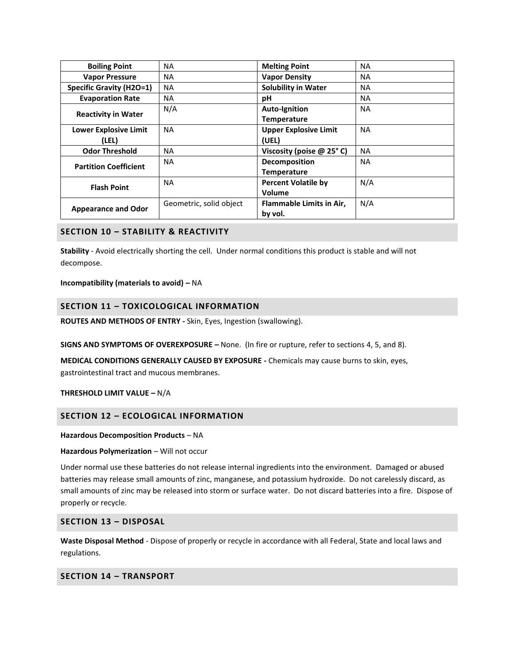| <b>Boiling Point</b>            | NA                      | <b>Melting Point</b>            | ΝA        |
|---------------------------------|-------------------------|---------------------------------|-----------|
| <b>Vapor Pressure</b>           | NA.                     | <b>Vapor Density</b>            | <b>NA</b> |
| <b>Specific Gravity (H2O=1)</b> | NA.                     | <b>Solubility in Water</b>      | NA        |
| <b>Evaporation Rate</b>         | NA.                     | рH                              | <b>NA</b> |
| <b>Reactivity in Water</b>      | N/A                     | <b>Auto-Ignition</b>            | <b>NA</b> |
|                                 |                         | <b>Temperature</b>              |           |
| <b>Lower Explosive Limit</b>    | NA                      | <b>Upper Explosive Limit</b>    | <b>NA</b> |
| (LEL)                           |                         | (UEL)                           |           |
| <b>Odor Threshold</b>           | <b>NA</b>               | Viscosity (poise $@$ 25 $°$ C)  | <b>NA</b> |
| <b>Partition Coefficient</b>    | NA.                     | Decomposition                   | <b>NA</b> |
|                                 |                         | <b>Temperature</b>              |           |
| <b>Flash Point</b>              | <b>NA</b>               | <b>Percent Volatile by</b>      | N/A       |
|                                 |                         | Volume                          |           |
| <b>Appearance and Odor</b>      | Geometric, solid object | <b>Flammable Limits in Air,</b> | N/A       |
|                                 |                         | by vol.                         |           |

# **SECTION 10 – STABILITY & REACTIVITY**

**Stability** - Avoid electrically shorting the cell. Under normal conditions this product is stable and will not decompose.

### **Incompatibility (materials to avoid) –** NA

## **SECTION 11 – TOXICOLOGICAL INFORMATION**

**ROUTES AND METHODS OF ENTRY -** Skin, Eyes, Ingestion (swallowing).

**SIGNS AND SYMPTOMS OF OVEREXPOSURE –** None. (In fire or rupture, refer to sections 4, 5, and 8).

**MEDICAL CONDITIONS GENERALLY CAUSED BY EXPOSURE -** Chemicals may cause burns to skin, eyes, gastrointestinal tract and mucous membranes.

### **THRESHOLD LIMIT VALUE –** N/A

## **SECTION 12 – ECOLOGICAL INFORMATION**

### **Hazardous Decomposition Products** – NA

### Hazardous Polymerization - Will not occur

Under normal use these batteries do not release internal ingredients into the environment. Damaged or abused batteries may release small amounts of zinc, manganese, and potassium hydroxide. Do not carelessly discard, as small amounts of zinc may be released into storm or surface water. Do not discard batteries into a fire. Dispose of properly or recycle.

## **SECTION 13 – DISPOSAL**

**Waste Disposal Method** - Dispose of properly or recycle in accordance with all Federal, State and local laws and regulations.

# **SECTION 14 – TRANSPORT**